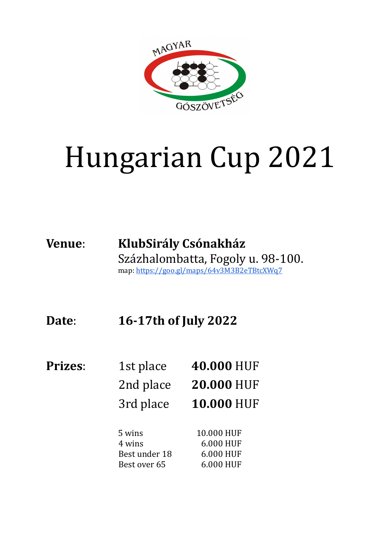

## Hungarian Cup 2021

## **Venue**: **KlubSirály Csónakház** Százhalombatta, Fogoly u. 98-100. map: <https://goo.gl/maps/64v3M3B2eTBtcXWq7>

**Date**: **16-17th of July 2022**

| <b>Prizes:</b> | 1st place     | 40.000 HUF        |
|----------------|---------------|-------------------|
|                | 2nd place     | <b>20.000 HUF</b> |
|                | 3rd place     | <b>10.000 HUF</b> |
|                | 5 wins        | 10.000 HUF        |
|                | 4 wins        | 6.000 HUF         |
|                | Best under 18 | 6.000 HUF         |
|                | Best over 65  | 6.000 HUF         |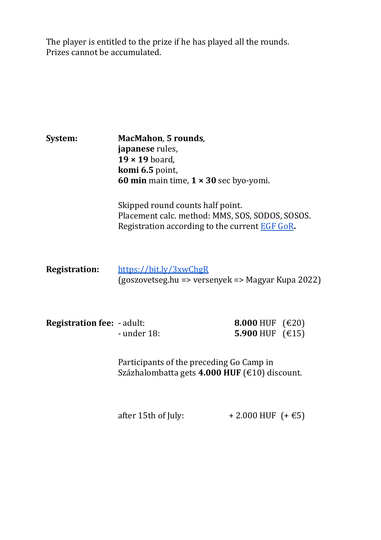The player is entitled to the prize if he has played all the rounds. Prizes cannot be accumulated.

| System:                           | <b>MacMahon, 5 rounds,</b><br>japanese rules,<br>$19 \times 19$ board,<br>komi 6.5 point,<br>60 min main time, $1 \times 30$ sec byo-yomi. |                                                           |
|-----------------------------------|--------------------------------------------------------------------------------------------------------------------------------------------|-----------------------------------------------------------|
|                                   | Skipped round counts half point.<br>Placement calc. method: MMS, SOS, SODOS, SOSOS.<br>Registration according to the current EGF GoR.      |                                                           |
| <b>Registration:</b>              | https://bit.ly/3xwChgR<br>(goszovetseg.hu => versenyek => Magyar Kupa 2022)                                                                |                                                           |
| <b>Registration fee: - adult:</b> | - under 18:                                                                                                                                | 8.000 HUF $(\text{\textsterling}20)$<br>5.900 HUF $(€15)$ |
|                                   | Participants of the preceding Go Camp in<br>Százhalombatta gets 4.000 HUF (€10) discount.                                                  |                                                           |
|                                   | after 15th of July:                                                                                                                        | + 2.000 HUF $(+\text{€5})$                                |